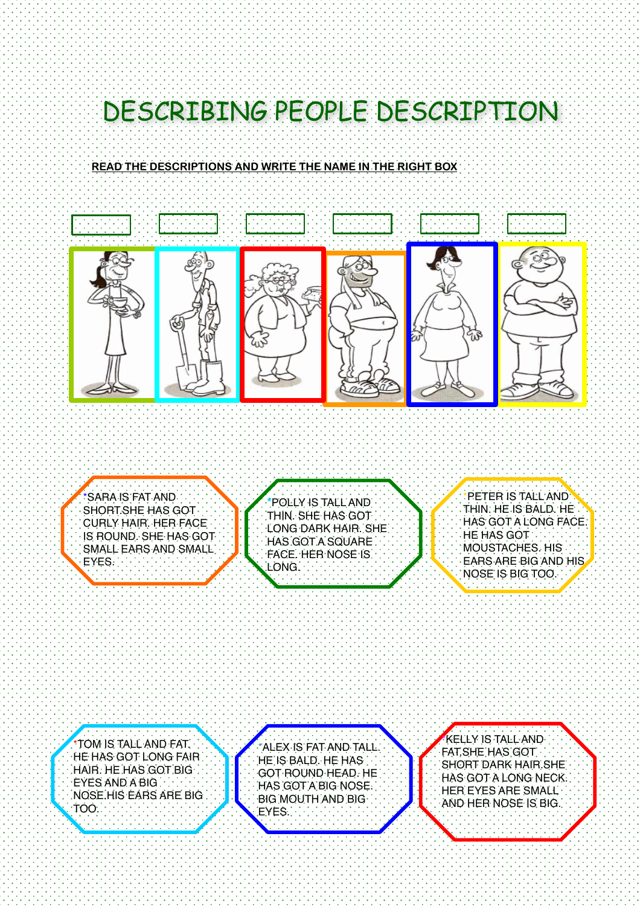## DESCRIBING PEOPLE DESCRIPTION

## **READ THE DESCRIPTIONS AND WRITE THE NAME IN THE RIGHT BOX**



\*SARA IS FAT AND SHORT.SHE HAS GOT CURLY HAIR. HER FACE IS ROUND. SHE HAS GOT SMALL EARS AND SMALL EYES.

**\***POLLY IS TALL AND THIN. SHE HAS GOT LONG DARK HAIR. SHE HAS GOT A SQUARE FACE. HER NOSE IS LONG.

\*PETER IS TALL AND THIN. HE IS BALD. HE HAS GOT A LONG FACE. HE HAS GOT MOUSTACHES. HIS EARS ARE BIG AND HIS NOSE IS BIG TOO.

\*TOM IS TALL AND FAT. HE HAS GOT LONG FAIR HAIR. HE HAS GOT BIG  $\cdot$ EYES AND A BIG  $\cdot$  . NOSE.HIS EARS ARE BIG TOO.

j

\*ALEX IS FAT AND TALL. HE IS BALD. HE HAS GOT ROUND HEAD. HE HAS GOT A BIG NOSE. BIG MOUTH AND BIG EYES.

\*KELLY IS TALL AND FAT.SHE HAS GOT SHORT DARK HAIR.SHE HAS GOT A LONG NECK. HER EYES ARE SMALL AND HER NOSE IS BIG.